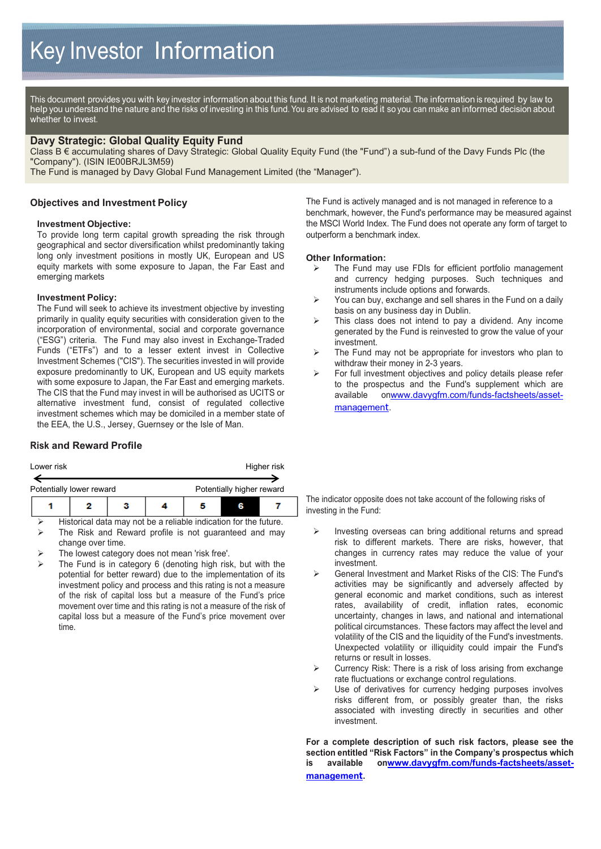This document provides you with key investor information about this fund. It is not marketing material. The information is required by law to help you understand the nature and the risks of investing in this fund. You are advised to read it so you can make an informed decision about whether to invest.

### **Davy Strategic: Global Quality Equity Fund**

Class B € accumulating shares of Davy Strategic: Global Quality Equity Fund (the "Fund") a sub-fund of the Davy Funds Plc (the "Company"). (ISIN IE00BRJL3M59)

The Fund is managed by Davy Global Fund Management Limited (the "Manager").

### **Objectives and Investment Policy**

#### **Investment Objective:**

To provide long term capital growth spreading the risk through geographical and sector diversification whilst predominantly taking long only investment positions in mostly UK, European and US equity markets with some exposure to Japan, the Far East and emerging markets

#### **Investment Policy:**

The Fund will seek to achieve its investment objective by investing primarily in quality equity securities with consideration given to the incorporation of environmental, social and corporate governance ("ESG") criteria. The Fund may also invest in Exchange-Traded Funds ("ETFs") and to a lesser extent invest in Collective Investment Schemes ("CIS"). The securities invested in will provide exposure predominantly to UK, European and US equity markets with some exposure to Japan, the Far East and emerging markets. The CIS that the Fund may invest in will be authorised as UCITS or alternative investment fund, consist of regulated collective investment schemes which may be domiciled in a member state of the EEA, the U.S., Jersey, Guernsey or the Isle of Man.

#### **Risk and Reward Profile**

| Lower risk               |  |   |  | Higher risk               |  |  |
|--------------------------|--|---|--|---------------------------|--|--|
| Potentially lower reward |  |   |  | Potentially higher reward |  |  |
|                          |  | з |  |                           |  |  |

- Historical data may not be a reliable indication for the future. The Risk and Reward profile is not guaranteed and may change over time.
- The lowest category does not mean 'risk free'.
- The Fund is in category 6 (denoting high risk, but with the potential for better reward) due to the implementation of its investment policy and process and this rating is not a measure of the risk of capital loss but a measure of the Fund's price movement over time and this rating is not a measure of the risk of capital loss but a measure of the Fund's price movement over time.

The Fund is actively managed and is not managed in reference to a benchmark, however, the Fund's performance may be measured against the MSCI World Index. The Fund does not operate any form of target to outperform a benchmark index.

#### **Other Information:**

- The Fund may use FDIs for efficient portfolio management and currency hedging purposes. Such techniques and instruments include options and forwards.
- $\triangleright$  You can buy, exchange and sell shares in the Fund on a daily basis on any business day in Dublin.
- $\triangleright$  This class does not intend to pay a dividend. Any income generated by the Fund is reinvested to grow the value of your investment.
- $\triangleright$  The Fund may not be appropriate for investors who plan to withdraw their money in 2-3 years.
- For full investment objectives and policy details please refer to the prospectus and the Fund's supplement which are available o[nwww.davygfm.com/funds-factsheets/asset](http://www.davygfm.com/funds-factsheets/asset-management)[managemen](http://www.davygfm.com/funds-factsheets/asset-management)t.

The indicator opposite does not take account of the following risks of investing in the Fund:

- $\triangleright$  Investing overseas can bring additional returns and spread risk to different markets. There are risks, however, that changes in currency rates may reduce the value of your investment.
- General Investment and Market Risks of the CIS: The Fund's activities may be significantly and adversely affected by general economic and market conditions, such as interest rates, availability of credit, inflation rates, economic uncertainty, changes in laws, and national and international political circumstances. These factors may affect the level and volatility of the CIS and the liquidity of the Fund's investments. Unexpected volatility or illiquidity could impair the Fund's returns or result in losses.
- $\triangleright$  Currency Risk: There is a risk of loss arising from exchange rate fluctuations or exchange control regulations.
- $\triangleright$  Use of derivatives for currency hedging purposes involves risks different from, or possibly greater than, the risks associated with investing directly in securities and other investment.

**For a complete description of such risk factors, please see the section entitled "Risk Factors" in the Company's prospectus which is available o[nwww.davygfm.com/funds-factsheets/asset](http://www.davygfm.com/funds-factsheets/asset-management)[managemen](http://www.davygfm.com/funds-factsheets/asset-management)t.**